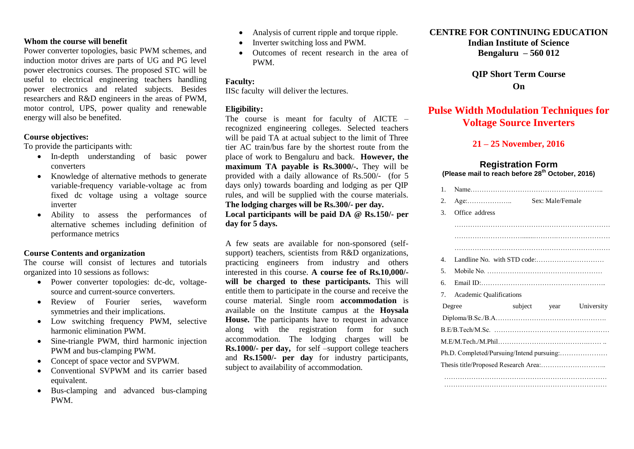#### **Whom the course will benefit**

Power converter topologies, basic PWM schemes, and induction motor drives are parts of UG and PG level power electronics courses. The proposed STC will be useful to electrical engineering teachers handling power electronics and related subjects. Besides researchers and R&D engineers in the areas of PWM, motor control, UPS, power quality and renewable energy will also be benefited.

#### **Course objectives:**

To provide the participants with:

- In-depth understanding of basic power converters
- Knowledge of alternative methods to generate variable-frequency variable-voltage ac from fixed dc voltage using a voltage source inverter
- Ability to assess the performances of alternative schemes including definition of performance metrics

#### **Course Contents and organization**

The course will consist of lectures and tutorials organized into 10 sessions as follows:

- Power converter topologies: dc-dc, voltagesource and current-source converters.
- Review of Fourier series, waveform symmetries and their implications.
- Low switching frequency PWM, selective harmonic elimination PWM.
- Sine-triangle PWM, third harmonic injection PWM and bus-clamping PWM.
- Concept of space vector and SVPWM.
- Conventional SVPWM and its carrier based equivalent.
- Bus-clamping and advanced bus-clamping PWM.
- Analysis of current ripple and torque ripple.
- Inverter switching loss and PWM.
- Outcomes of recent research in the area of PWM.

#### **Faculty:**

IISc faculty will deliver the lectures.

#### **Eligibility:**

The course is meant for faculty of AICTE – recognized engineering colleges. Selected teachers will be paid TA at actual subject to the limit of Three tier AC train/bus fare by the shortest route from the place of work to Bengaluru and back. **However, the maximum TA payable is Rs.3000/-.** They will be provided with a daily allowance of Rs.500/- (for 5 days only) towards boarding and lodging as per QIP rules, and will be supplied with the course materials. **The lodging charges will be Rs.300/- per day. Local participants will be paid DA @ Rs.150/- per day for 5 days.**

A few seats are available for non-sponsored (selfsupport) teachers, scientists from R&D organizations, practicing engineers from industry and others interested in this course. **A course fee of Rs.10,000/** will be charged to these participants. This will entitle them to participate in the course and receive the course material. Single room **accommodation** is available on the Institute campus at the **Hoysala House.** The participants have to request in advance along with the registration form for such accommodation. The lodging charges will be **Rs.1000/- per day,** for self –support college teachers and **Rs.1500/- per day** for industry participants, subject to availability of accommodation.

### **CENTRE FOR CONTINUING EDUCATION**

**Indian Institute of Science Bengaluru – 560 012**

**QIP Short Term Course On**

### **Pulse Width Modulation Techniques for Voltage Source Inverters**

#### **21 – 25 November, 2016**

#### **Registration Form (Please mail to reach before 28th October, 2016)**

| $\mathbf{1}$ .                  |                                           |  |                  |            |  |
|---------------------------------|-------------------------------------------|--|------------------|------------|--|
| 2.                              |                                           |  | Sex: Male/Female |            |  |
| 3.                              | Office address                            |  |                  |            |  |
|                                 |                                           |  |                  |            |  |
|                                 |                                           |  |                  |            |  |
| $4_{\cdot}$                     |                                           |  |                  |            |  |
| 5.                              |                                           |  |                  |            |  |
| б.                              |                                           |  |                  |            |  |
| $7_{\scriptscriptstyle{\circ}}$ | <b>Academic Qualifications</b>            |  |                  |            |  |
| Degree                          |                                           |  | subject year     | University |  |
|                                 |                                           |  |                  |            |  |
|                                 |                                           |  |                  |            |  |
|                                 |                                           |  |                  |            |  |
|                                 | Ph.D. Completed/Pursuing/Intend pursuing: |  |                  |            |  |
|                                 |                                           |  |                  |            |  |
|                                 |                                           |  |                  |            |  |
|                                 |                                           |  |                  |            |  |